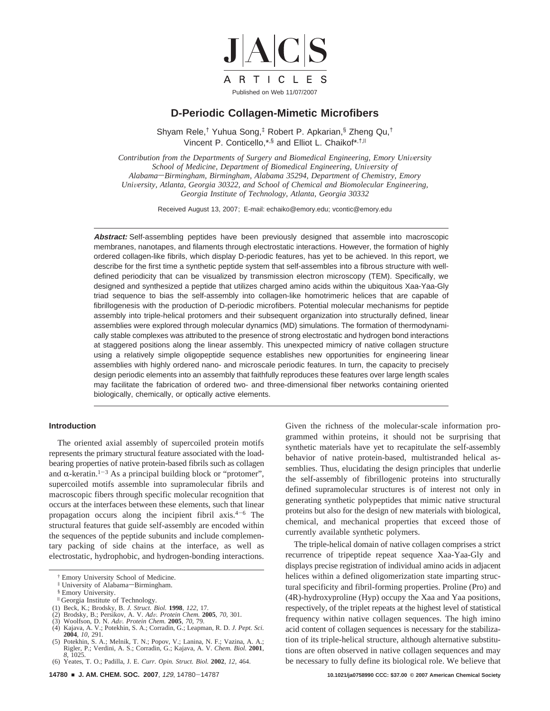

## **D-Periodic Collagen-Mimetic Microfibers**

Shyam Rele,† Yuhua Song,‡ Robert P. Apkarian,§ Zheng Qu,† Vincent P. Conticello,\*,§ and Elliot L. Chaikof\*,<sup>†,||</sup>

*Contribution from the Departments of Surgery and Biomedical Engineering, Emory University School of Medicine, Department of Biomedical Engineering, University of Alabama*s*Birmingham, Birmingham, Alabama 35294, Department of Chemistry, Emory Uni*V*ersity, Atlanta, Georgia 30322, and School of Chemical and Biomolecular Engineering, Georgia Institute of Technology, Atlanta, Georgia 30332*

Received August 13, 2007; E-mail: echaiko@emory.edu; vcontic@emory.edu

**Abstract:** Self-assembling peptides have been previously designed that assemble into macroscopic membranes, nanotapes, and filaments through electrostatic interactions. However, the formation of highly ordered collagen-like fibrils, which display D-periodic features, has yet to be achieved. In this report, we describe for the first time a synthetic peptide system that self-assembles into a fibrous structure with welldefined periodicity that can be visualized by transmission electron microscopy (TEM). Specifically, we designed and synthesized a peptide that utilizes charged amino acids within the ubiquitous Xaa-Yaa-Gly triad sequence to bias the self-assembly into collagen-like homotrimeric helices that are capable of fibrillogenesis with the production of D-periodic microfibers. Potential molecular mechanisms for peptide assembly into triple-helical protomers and their subsequent organization into structurally defined, linear assemblies were explored through molecular dynamics (MD) simulations. The formation of thermodynamically stable complexes was attributed to the presence of strong electrostatic and hydrogen bond interactions at staggered positions along the linear assembly. This unexpected mimicry of native collagen structure using a relatively simple oligopeptide sequence establishes new opportunities for engineering linear assemblies with highly ordered nano- and microscale periodic features. In turn, the capacity to precisely design periodic elements into an assembly that faithfully reproduces these features over large length scales may facilitate the fabrication of ordered two- and three-dimensional fiber networks containing oriented biologically, chemically, or optically active elements.

## **Introduction**

The oriented axial assembly of supercoiled protein motifs represents the primary structural feature associated with the loadbearing properties of native protein-based fibrils such as collagen and  $\alpha$ -keratin.<sup>1-3</sup> As a principal building block or "protomer", supercoiled motifs assemble into supramolecular fibrils and macroscopic fibers through specific molecular recognition that occurs at the interfaces between these elements, such that linear propagation occurs along the incipient fibril axis. $4-6$  The structural features that guide self-assembly are encoded within the sequences of the peptide subunits and include complementary packing of side chains at the interface, as well as electrostatic, hydrophobic, and hydrogen-bonding interactions.

Given the richness of the molecular-scale information programmed within proteins, it should not be surprising that synthetic materials have yet to recapitulate the self-assembly behavior of native protein-based, multistranded helical assemblies. Thus, elucidating the design principles that underlie the self-assembly of fibrillogenic proteins into structurally defined supramolecular structures is of interest not only in generating synthetic polypeptides that mimic native structural proteins but also for the design of new materials with biological, chemical, and mechanical properties that exceed those of currently available synthetic polymers.

The triple-helical domain of native collagen comprises a strict recurrence of tripeptide repeat sequence Xaa-Yaa-Gly and displays precise registration of individual amino acids in adjacent helices within a defined oligomerization state imparting structural specificity and fibril-forming properties. Proline (Pro) and (4R)-hydroxyproline (Hyp) occupy the Xaa and Yaa positions, respectively, of the triplet repeats at the highest level of statistical frequency within native collagen sequences. The high imino acid content of collagen sequences is necessary for the stabilization of its triple-helical structure, although alternative substitutions are often observed in native collagen sequences and may be necessary to fully define its biological role. We believe that

<sup>†</sup> Emory University School of Medicine.

<sup>&</sup>lt;sup>‡</sup> University of Alabama-Birmingham.

<sup>§</sup> Emory University.

<sup>|</sup> Georgia Institute of Technology.

<sup>(1)</sup> Beck, K.; Brodsky, B. J. Struct. Biol. 1998, 122, 17.<br>(2) Brodsky, B.; Persikov, A. V. Adv. Protein Chem. 2005, 70, 301.<br>(3) Woolfson, D. N. Adv. Protein Chem. 2005, 70, 79.<br>(4) Kaiava. A. V.: Potekhin. S. A.: Corradin

<sup>(4)</sup> Kajava, A. V.; Potekhin, S. A.; Corradin, G.; Leapman, R. D. *J. Pept. Sci.* **2004**, *10*, 291.

<sup>(5)</sup> Potekhin, S. A.; Melnik, T. N.; Popov, V.; Lanina, N. F.; Vazina, A. A.; Rigler, P.; Verdini, A. S.; Corradin, G.; Kajava, A. V. *Chem. Biol.* **<sup>2001</sup>**, *<sup>8</sup>*, 1025.

<sup>(6)</sup> Yeates, T. O.; Padilla, J. E. *Curr. Opin. Struct. Biol.* **2002**, *12*, 464.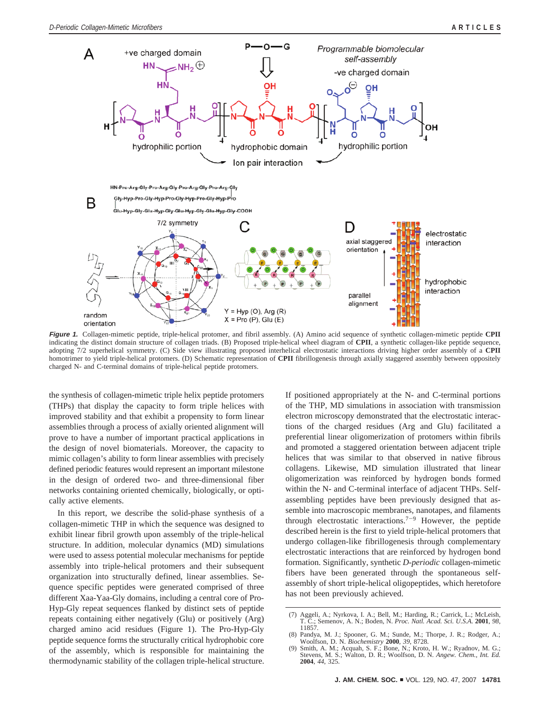

**Figure 1.** Collagen-mimetic peptide, triple-helical protomer, and fibril assembly. (A) Amino acid sequence of synthetic collagen-mimetic peptide **CPII** indicating the distinct domain structure of collagen triads. (B) Proposed triple-helical wheel diagram of **CPII**, a synthetic collagen-like peptide sequence, adopting 7/2 superhelical symmetry. (C) Side view illustrating proposed interhelical electrostatic interactions driving higher order assembly of a **CPII** homotrimer to yield triple-helical protomers. (D) Schematic representation of **CPII** fibrillogenesis through axially staggered assembly between oppositely charged N- and C-terminal domains of triple-helical peptide protomers.

the synthesis of collagen-mimetic triple helix peptide protomers (THPs) that display the capacity to form triple helices with improved stability and that exhibit a propensity to form linear assemblies through a process of axially oriented alignment will prove to have a number of important practical applications in the design of novel biomaterials. Moreover, the capacity to mimic collagen's ability to form linear assemblies with precisely defined periodic features would represent an important milestone in the design of ordered two- and three-dimensional fiber networks containing oriented chemically, biologically, or optically active elements.

In this report, we describe the solid-phase synthesis of a collagen-mimetic THP in which the sequence was designed to exhibit linear fibril growth upon assembly of the triple-helical structure. In addition, molecular dynamics (MD) simulations were used to assess potential molecular mechanisms for peptide assembly into triple-helical protomers and their subsequent organization into structurally defined, linear assemblies. Sequence specific peptides were generated comprised of three different Xaa-Yaa-Gly domains, including a central core of Pro-Hyp-Gly repeat sequences flanked by distinct sets of peptide repeats containing either negatively (Glu) or positively (Arg) charged amino acid residues (Figure 1). The Pro-Hyp-Gly peptide sequence forms the structurally critical hydrophobic core of the assembly, which is responsible for maintaining the thermodynamic stability of the collagen triple-helical structure.

If positioned appropriately at the N- and C-terminal portions of the THP, MD simulations in association with transmission electron microscopy demonstrated that the electrostatic interactions of the charged residues (Arg and Glu) facilitated a preferential linear oligomerization of protomers within fibrils and promoted a staggered orientation between adjacent triple helices that was similar to that observed in native fibrous collagens. Likewise, MD simulation illustrated that linear oligomerization was reinforced by hydrogen bonds formed within the N- and C-terminal interface of adjacent THPs. Selfassembling peptides have been previously designed that assemble into macroscopic membranes, nanotapes, and filaments through electrostatic interactions.<sup>7-9</sup> However, the peptide described herein is the first to yield triple-helical protomers that undergo collagen-like fibrillogenesis through complementary electrostatic interactions that are reinforced by hydrogen bond formation. Significantly, synthetic *D-periodic* collagen-mimetic fibers have been generated through the spontaneous selfassembly of short triple-helical oligopeptides, which heretofore has not been previously achieved.

<sup>(7)</sup> Aggeli, A.; Nyrkova, I. A.; Bell, M.; Harding, R.; Carrick, L.; McLeish, T. C.; Semenov, A. N.; Boden, N. *Proc. Natl. Acad. Sci. U.S.A.* **2001**, *98*, 11857.

<sup>(8)</sup> Pandya, M. J.; Spooner, G. M.; Sunde, M.; Thorpe, J. R.; Rodger, A.; Woolfson, D. N. *Biochemistry* **2000**, *39*, 8728. (9) Smith, A. M.; Acquah, S. F.; Bone, N.; Kroto, H. W.; Ryadnov, M. G.;

Stevens, M. S.; Walton, D. R.; Woolfson, D. N. *Angew. Chem., Int. Ed.* **2004**, *44*, 325.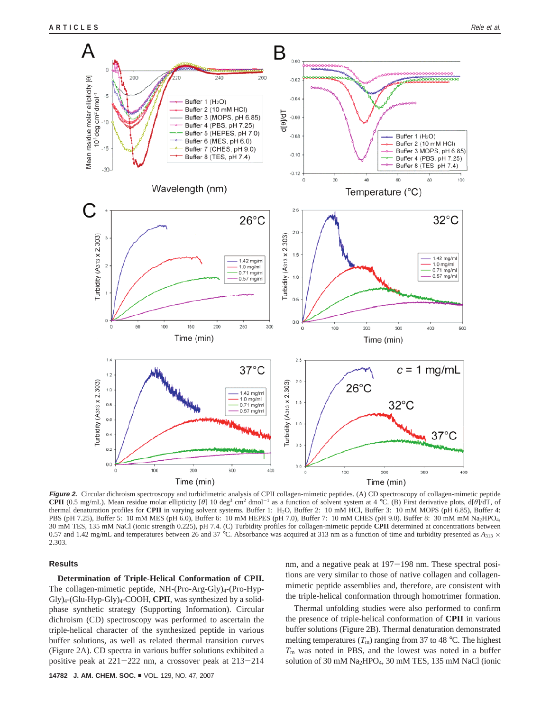

Figure 2. Circular dichroism spectroscopy and turbidimetric analysis of CPII collagen-mimetic peptides. (A) CD spectroscopy of collagen-mimetic peptide **CPII** (0.5 mg/mL). Mean residue molar ellipticity [ $\theta$ ] 10 deg<sup>3</sup> cm<sup>2</sup> dmol<sup>-1</sup> as a function of solvent system at 4 °C. (B) First derivative plots, d[ $\theta$ ]/dT, of thermal denaturation profiles for **CPII** in varying solvent systems. Buffer 1: H2O, Buffer 2: 10 mM HCl, Buffer 3: 10 mM MOPS (pH 6.85), Buffer 4: PBS (pH 7.25), Buffer 5: 10 mM MES (pH 6.0), Buffer 6: 10 mM HEPES (pH 7.0), Buffer 7: 10 mM CHES (pH 9.0). Buffer 8: 30 mM mM Na2HPO4, 30 mM TES, 135 mM NaCl (ionic strength 0.225), pH 7.4. (C) Turbidity profiles for collagen-mimetic peptide **CPII** determined at concentrations between 0.57 and 1.42 mg/mL and temperatures between 26 and 37 °C. Absorbance was acquired at 313 nm as a function of time and turbidity presented as  $A_{313} \times$ 2.303.

## **Results**

**Determination of Triple-Helical Conformation of CPII.** The collagen-mimetic peptide, NH-(Pro-Arg-Gly)<sub>4</sub>-(Pro-Hyp-Gly)4-(Glu-Hyp-Gly)4-COOH, **CPII**, was synthesized by a solidphase synthetic strategy (Supporting Information). Circular dichroism (CD) spectroscopy was performed to ascertain the triple-helical character of the synthesized peptide in various buffer solutions, as well as related thermal transition curves (Figure 2A). CD spectra in various buffer solutions exhibited a positive peak at 221-222 nm, a crossover peak at 213-<sup>214</sup> nm, and a negative peak at  $197-198$  nm. These spectral positions are very similar to those of native collagen and collagenmimetic peptide assemblies and, therefore, are consistent with the triple-helical conformation through homotrimer formation.

Thermal unfolding studies were also performed to confirm the presence of triple-helical conformation of **CPII** in various buffer solutions (Figure 2B). Thermal denaturation demonstrated melting temperatures  $(T_{\rm m})$  ranging from 37 to 48 °C. The highest *T*<sup>m</sup> was noted in PBS, and the lowest was noted in a buffer solution of 30 mM Na2HPO4, 30 mM TES, 135 mM NaCl (ionic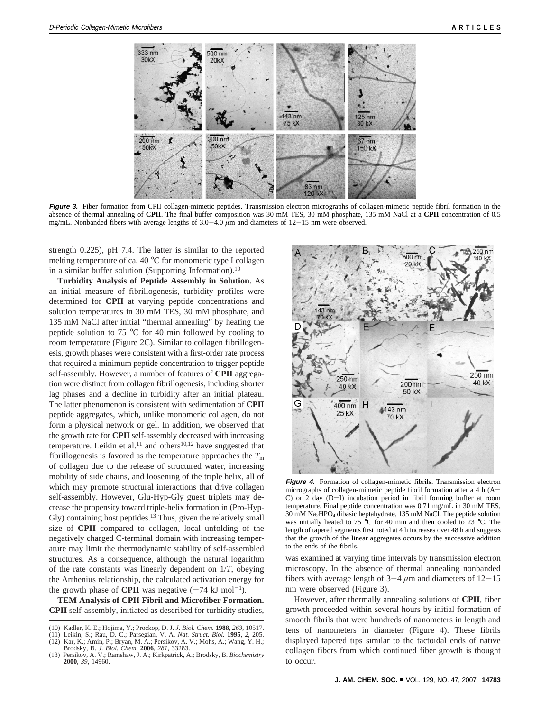

**Figure 3.** Fiber formation from CPII collagen-mimetic peptides. Transmission electron micrographs of collagen-mimetic peptide fibril formation in the absence of thermal annealing of **CPII**. The final buffer composition was 30 mM TES, 30 mM phosphate, 135 mM NaCl at a **CPII** concentration of 0.5 mg/mL. Nonbanded fibers with average lengths of 3.0–4.0 *μ*m and diameters of 12–15 nm were observed.

strength 0.225), pH 7.4. The latter is similar to the reported melting temperature of ca. 40 °C for monomeric type I collagen in a similar buffer solution (Supporting Information).<sup>10</sup>

**Turbidity Analysis of Peptide Assembly in Solution.** As an initial measure of fibrillogenesis, turbidity profiles were determined for **CPII** at varying peptide concentrations and solution temperatures in 30 mM TES, 30 mM phosphate, and 135 mM NaCl after initial "thermal annealing" by heating the peptide solution to 75 °C for 40 min followed by cooling to room temperature (Figure 2C). Similar to collagen fibrillogenesis, growth phases were consistent with a first-order rate process that required a minimum peptide concentration to trigger peptide self-assembly. However, a number of features of **CPII** aggregation were distinct from collagen fibrillogenesis, including shorter lag phases and a decline in turbidity after an initial plateau. The latter phenomenon is consistent with sedimentation of **CPII** peptide aggregates, which, unlike monomeric collagen, do not form a physical network or gel. In addition, we observed that the growth rate for **CPII** self-assembly decreased with increasing temperature. Leikin et al.<sup>11</sup> and others<sup>10,12</sup> have suggested that fibrillogenesis is favored as the temperature approaches the  $T<sub>m</sub>$ of collagen due to the release of structured water, increasing mobility of side chains, and loosening of the triple helix, all of which may promote structural interactions that drive collagen self-assembly. However, Glu-Hyp-Gly guest triplets may decrease the propensity toward triple-helix formation in (Pro-Hyp-Gly) containing host peptides.<sup>13</sup> Thus, given the relatively small size of **CPII** compared to collagen, local unfolding of the negatively charged C-terminal domain with increasing temperature may limit the thermodynamic stability of self-assembled structures. As a consequence, although the natural logarithm of the rate constants was linearly dependent on 1/*T*, obeying the Arrhenius relationship, the calculated activation energy for the growth phase of **CPII** was negative  $(-74 \text{ kJ mol}^{-1})$ .

**TEM Analysis of CPII Fibril and Microfiber Formation. CPII** self-assembly, initiated as described for turbidity studies,



**Figure 4.** Formation of collagen-mimetic fibrils. Transmission electron micrographs of collagen-mimetic peptide fibril formation after a 4 h  $(A-$ C) or 2 day (D-I) incubation period in fibril forming buffer at room temperature. Final peptide concentration was 0.71 mg/mL in 30 mM TES, 30 mM Na2HPO4 dibasic heptahydrate, 135 mM NaCl. The peptide solution was initially heated to 75  $\degree$ C for 40 min and then cooled to 23  $\degree$ C. The length of tapered segments first noted at 4 h increases over 48 h and suggests that the growth of the linear aggregates occurs by the successive addition to the ends of the fibrils.

was examined at varying time intervals by transmission electron microscopy. In the absence of thermal annealing nonbanded fibers with average length of  $3-4 \mu m$  and diameters of  $12-15$ nm were observed (Figure 3).

However, after thermally annealing solutions of **CPII**, fiber growth proceeded within several hours by initial formation of smooth fibrils that were hundreds of nanometers in length and tens of nanometers in diameter (Figure 4). These fibrils displayed tapered tips similar to the tactoidal ends of native collagen fibers from which continued fiber growth is thought to occur.

<sup>(10)</sup> Kadler, K. E.; Hojima, Y.; Prockop, D. J. *J. Biol. Chem.* **1988**, *263*, 10517.

<sup>(11)</sup> Leikin, S.; Rau, D. C.; Parsegian, V. A. *Nat. Struct. Biol.* **1995**, *2*, 205. (12) Kar, K.; Amin, P.; Bryan, M. A.; Persikov, A. V.; Mohs, A.; Wang, Y. H.;

Brodsky, B. *J. Biol. Chem.* **2006**, *281*, 33283.

<sup>(13)</sup> Persikov, A. V.; Ramshaw, J. A.; Kirkpatrick, A.; Brodsky, B. *Biochemistry* **2000**, *39*, 14960.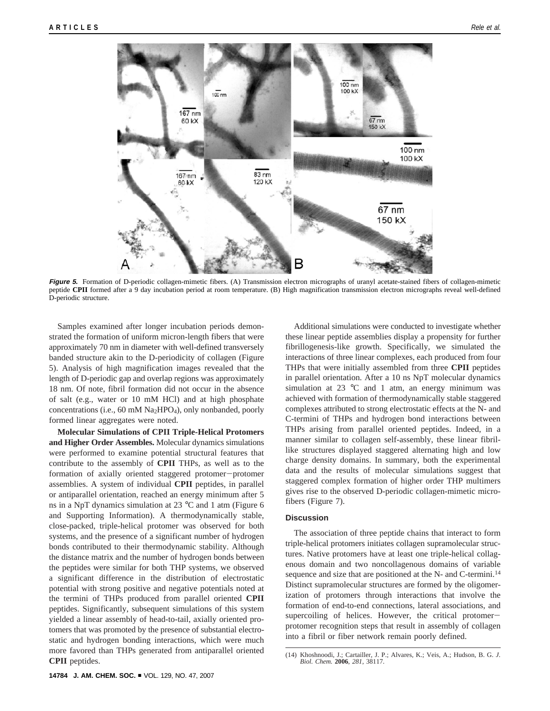

Figure 5. Formation of D-periodic collagen-mimetic fibers. (A) Transmission electron micrographs of uranyl acetate-stained fibers of collagen-mimetic peptide **CPII** formed after a 9 day incubation period at room temperature. (B) High magnification transmission electron micrographs reveal well-defined D-periodic structure.

Samples examined after longer incubation periods demonstrated the formation of uniform micron-length fibers that were approximately 70 nm in diameter with well-defined transversely banded structure akin to the D-periodicity of collagen (Figure 5). Analysis of high magnification images revealed that the length of D-periodic gap and overlap regions was approximately 18 nm. Of note, fibril formation did not occur in the absence of salt (e.g., water or 10 mM HCl) and at high phosphate concentrations (i.e., 60 mM Na<sub>2</sub>HPO<sub>4</sub>), only nonbanded, poorly formed linear aggregates were noted.

**Molecular Simulations of CPII Triple-Helical Protomers and Higher Order Assembles.** Molecular dynamics simulations were performed to examine potential structural features that contribute to the assembly of **CPII** THPs, as well as to the formation of axially oriented staggered protomer-protomer assemblies. A system of individual **CPII** peptides, in parallel or antiparallel orientation, reached an energy minimum after 5 ns in a NpT dynamics simulation at 23 °C and 1 atm (Figure 6 and Supporting Information). A thermodynamically stable, close-packed, triple-helical protomer was observed for both systems, and the presence of a significant number of hydrogen bonds contributed to their thermodynamic stability. Although the distance matrix and the number of hydrogen bonds between the peptides were similar for both THP systems, we observed a significant difference in the distribution of electrostatic potential with strong positive and negative potentials noted at the termini of THPs produced from parallel oriented **CPII** peptides. Significantly, subsequent simulations of this system yielded a linear assembly of head-to-tail, axially oriented protomers that was promoted by the presence of substantial electrostatic and hydrogen bonding interactions, which were much more favored than THPs generated from antiparallel oriented **CPII** peptides.

Additional simulations were conducted to investigate whether these linear peptide assemblies display a propensity for further fibrillogenesis-like growth. Specifically, we simulated the interactions of three linear complexes, each produced from four THPs that were initially assembled from three **CPII** peptides in parallel orientation. After a 10 ns NpT molecular dynamics simulation at 23  $\degree$ C and 1 atm, an energy minimum was achieved with formation of thermodynamically stable staggered complexes attributed to strong electrostatic effects at the N- and C-termini of THPs and hydrogen bond interactions between THPs arising from parallel oriented peptides. Indeed, in a manner similar to collagen self-assembly, these linear fibrillike structures displayed staggered alternating high and low charge density domains. In summary, both the experimental data and the results of molecular simulations suggest that staggered complex formation of higher order THP multimers gives rise to the observed D-periodic collagen-mimetic microfibers (Figure 7).

## **Discussion**

The association of three peptide chains that interact to form triple-helical protomers initiates collagen supramolecular structures. Native protomers have at least one triple-helical collagenous domain and two noncollagenous domains of variable sequence and size that are positioned at the N- and C-termini.<sup>14</sup> Distinct supramolecular structures are formed by the oligomerization of protomers through interactions that involve the formation of end-to-end connections, lateral associations, and supercoiling of helices. However, the critical protomerprotomer recognition steps that result in assembly of collagen into a fibril or fiber network remain poorly defined.

<sup>(14)</sup> Khoshnoodi, J.; Cartailler, J. P.; Alvares, K.; Veis, A.; Hudson, B. G. *J. Biol. Chem.* **2006**, *281*, 38117.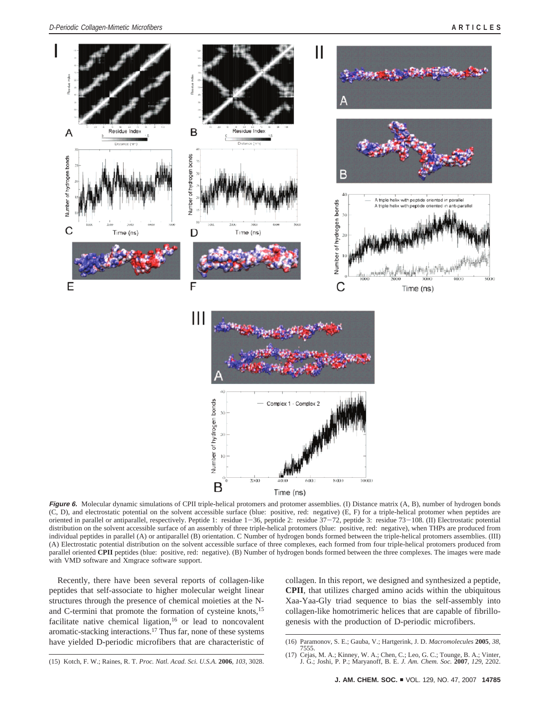

Figure 6. Molecular dynamic simulations of CPII triple-helical protomers and protomer assemblies. (I) Distance matrix (A, B), number of hydrogen bonds (C, D), and electrostatic potential on the solvent accessible surface (blue: positive, red: negative) (E, F) for a triple-helical protomer when peptides are oriented in parallel or antiparallel, respectively. Peptide 1: residue  $1-36$ , peptide 2: residue  $37-72$ , peptide 3: residue  $73-108$ . (II) Electrostatic potential distribution on the solvent accessible surface of an assembly of three triple-helical protomers (blue: positive, red: negative), when THPs are produced from individual peptides in parallel (A) or antiparallel (B) orientation. C Number of hydrogen bonds formed between the triple-helical protomers assemblies. (III) (A) Electrostatic potential distribution on the solvent accessible surface of three complexes, each formed from four triple-helical protomers produced from parallel oriented **CPII** peptides (blue: positive, red: negative). (B) Number of hydrogen bonds formed between the three complexes. The images were made with VMD software and Xmgrace software support.

Recently, there have been several reports of collagen-like peptides that self-associate to higher molecular weight linear structures through the presence of chemical moieties at the Nand C-termini that promote the formation of cysteine knots,<sup>15</sup> facilitate native chemical ligation,<sup>16</sup> or lead to noncovalent aromatic-stacking interactions.17 Thus far, none of these systems have yielded D-periodic microfibers that are characteristic of collagen. In this report, we designed and synthesized a peptide, **CPII**, that utilizes charged amino acids within the ubiquitous Xaa-Yaa-Gly triad sequence to bias the self-assembly into collagen-like homotrimeric helices that are capable of fibrillogenesis with the production of D-periodic microfibers.

(17) Cejas, M. A.; Kinney, W. A.; Chen, C.; Leo, G. C.; Tounge, B. A.; Vinter, J. G.; Joshi, P. P.; Maryanoff, B. E. *J. Am. Chem. Soc.* **2007**, *129*, 2202.

<sup>(16)</sup> Paramonov, S. E.; Gauba, V.; Hartgerink, J. D. *Macromolecules* **2005**, *38*, 7555.

<sup>(15)</sup> Kotch, F. W.; Raines, R. T. *Proc. Natl. Acad. Sci. U.S.A.* **2006**, *103*, 3028.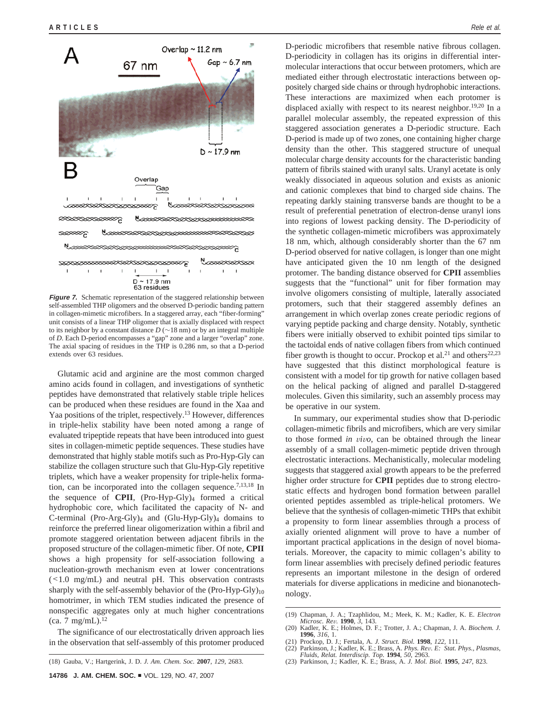

**Figure 7.** Schematic representation of the staggered relationship between self-assembled THP oligomers and the observed D-periodic banding pattern in collagen-mimetic microfibers. In a staggered array, each "fiber-forming" unit consists of a linear THP oligomer that is axially displaced with respect to its neighbor by a constant distance *D* (∼18 nm) or by an integral multiple of *D*. Each D-period encompasses a "gap" zone and a larger "overlap" zone. The axial spacing of residues in the THP is 0.286 nm, so that a D-period extends over 63 residues.

Glutamic acid and arginine are the most common charged amino acids found in collagen, and investigations of synthetic peptides have demonstrated that relatively stable triple helices can be produced when these residues are found in the Xaa and Yaa positions of the triplet, respectively.13 However, differences in triple-helix stability have been noted among a range of evaluated tripeptide repeats that have been introduced into guest sites in collagen-mimetic peptide sequences. These studies have demonstrated that highly stable motifs such as Pro-Hyp-Gly can stabilize the collagen structure such that Glu-Hyp-Gly repetitive triplets, which have a weaker propensity for triple-helix formation, can be incorporated into the collagen sequence.<sup>7,13,18</sup> In the sequence of **CPII**,  $(Pro-Hyp-Gly)<sub>4</sub>$  formed a critical hydrophobic core, which facilitated the capacity of N- and C-terminal (Pro-Arg-Gly)4 and (Glu-Hyp-Gly)4 domains to reinforce the preferred linear oligomerization within a fibril and promote staggered orientation between adjacent fibrils in the proposed structure of the collagen-mimetic fiber. Of note, **CPII** shows a high propensity for self-association following a nucleation-growth mechanism even at lower concentrations (<1.0 mg/mL) and neutral pH. This observation contrasts sharply with the self-assembly behavior of the  $(Pro-Hyp-Gly)_{10}$ homotrimer, in which TEM studies indicated the presence of nonspecific aggregates only at much higher concentrations (ca. 7 mg/mL).12

The significance of our electrostatically driven approach lies in the observation that self-assembly of this protomer produced

D-periodic microfibers that resemble native fibrous collagen. D-periodicity in collagen has its origins in differential intermolecular interactions that occur between protomers, which are mediated either through electrostatic interactions between oppositely charged side chains or through hydrophobic interactions. These interactions are maximized when each protomer is displaced axially with respect to its nearest neighbor.<sup>19,20</sup> In a parallel molecular assembly, the repeated expression of this staggered association generates a D-periodic structure. Each D-period is made up of two zones, one containing higher charge density than the other. This staggered structure of unequal molecular charge density accounts for the characteristic banding pattern of fibrils stained with uranyl salts. Uranyl acetate is only weakly dissociated in aqueous solution and exists as anionic and cationic complexes that bind to charged side chains. The repeating darkly staining transverse bands are thought to be a result of preferential penetration of electron-dense uranyl ions into regions of lowest packing density. The D-periodicity of the synthetic collagen-mimetic microfibers was approximately 18 nm, which, although considerably shorter than the 67 nm D-period observed for native collagen, is longer than one might have anticipated given the 10 nm length of the designed protomer. The banding distance observed for **CPII** assemblies suggests that the "functional" unit for fiber formation may involve oligomers consisting of multiple, laterally associated protomers, such that their staggered assembly defines an arrangement in which overlap zones create periodic regions of varying peptide packing and charge density. Notably, synthetic fibers were initially observed to exhibit pointed tips similar to the tactoidal ends of native collagen fibers from which continued fiber growth is thought to occur. Prockop et al.<sup>21</sup> and others<sup>22,23</sup> have suggested that this distinct morphological feature is consistent with a model for tip growth for native collagen based on the helical packing of aligned and parallel D-staggered molecules. Given this similarity, such an assembly process may be operative in our system.

In summary, our experimental studies show that D-periodic collagen-mimetic fibrils and microfibers, which are very similar to those formed *in vivo*, can be obtained through the linear assembly of a small collagen-mimetic peptide driven through electrostatic interactions. Mechanistically, molecular modeling suggests that staggered axial growth appears to be the preferred higher order structure for **CPII** peptides due to strong electrostatic effects and hydrogen bond formation between parallel oriented peptides assembled as triple-helical protomers. We believe that the synthesis of collagen-mimetic THPs that exhibit a propensity to form linear assemblies through a process of axially oriented alignment will prove to have a number of important practical applications in the design of novel biomaterials. Moreover, the capacity to mimic collagen's ability to form linear assemblies with precisely defined periodic features represents an important milestone in the design of ordered materials for diverse applications in medicine and bionanotechnology.

- (19) Chapman, J. A.; Tzaphlidou, M.; Meek, K. M.; Kadler, K. E. *Electron Microsc. Rev.* **1990**,  $\overline{3}$ , 143.<br>
(20) Kadler, K. E.; Holmes, D. F.; Trotter, J. A.; Chapman, J. A. *Biochem. J.*
- **1996**, *316*, 1.
- (21) Prockop, D. J.; Fertala, A. *J. Struct. Biol.* **1998**, *122*, 111.
- (22) Parkinson, J.; Kadler, K. E.; Brass, A. Phys. Rev. E: Stat. Phys., Plasmas, Fluids, Relat. Interdiscip. Top. 1994, 50, 2963. (23) Parkinson, J.; Kadler, K. E.; Brass, A. J. Mol. Biol. 1995, 247, 823.
-